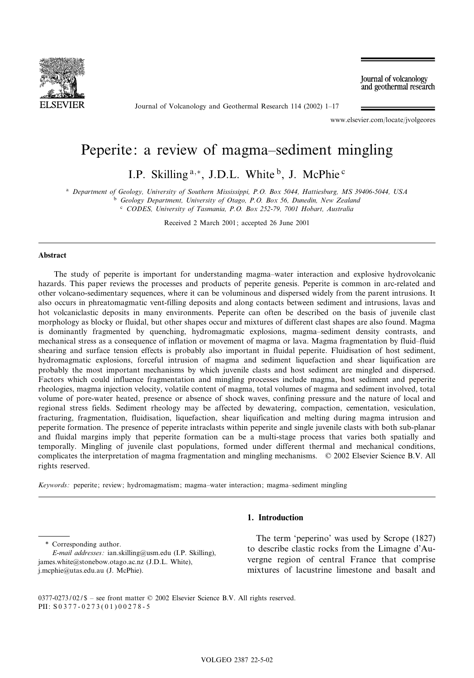

Journal of Volcanology and Geothermal Research 114 (2002) 1-17

Journal of volcanology and geothermal research

www.elsevier.com/locate/jvolgeores

# Peperite: a review of magma-sediment mingling

I.P. Skilling  $a,*$ , J.D.L. White  $b$ , J. McPhie  $c$ 

<sup>a</sup> Department of Geology, University of Southern Mississippi, P.O. Box 5044, Hattiesburg, MS 39406-5044, USA

 $b$  Geology Department, University of Otago, P.O. Box 56, Dunedin, New Zealand <sup>c</sup> CODES, University of Tasmania, P.O. Box 252-79, 7001 Hobart, Australia

Received 2 March 2001; accepted 26 June 2001

## Abstract

The study of peperite is important for understanding magma-water interaction and explosive hydrovolcanic hazards. This paper reviews the processes and products of peperite genesis. Peperite is common in arc-related and other volcano-sedimentary sequences, where it can be voluminous and dispersed widely from the parent intrusions. It also occurs in phreatomagmatic vent-filling deposits and along contacts between sediment and intrusions, lavas and hot volcaniclastic deposits in many environments. Peperite can often be described on the basis of juvenile clast morphology as blocky or fluidal, but other shapes occur and mixtures of different clast shapes are also found. Magma is dominantly fragmented by quenching, hydromagmatic explosions, magma-sediment density contrasts, and mechanical stress as a consequence of inflation or movement of magma or lava. Magma fragmentation by fluid-fluid shearing and surface tension effects is probably also important in fluidal peperite. Fluidisation of host sediment, hydromagmatic explosions, forceful intrusion of magma and sediment liquefaction and shear liquification are probably the most important mechanisms by which juvenile clasts and host sediment are mingled and dispersed. Factors which could influence fragmentation and mingling processes include magma, host sediment and peperite rheologies, magma injection velocity, volatile content of magma, total volumes of magma and sediment involved, total volume of pore-water heated, presence or absence of shock waves, confining pressure and the nature of local and regional stress fields. Sediment rheology may be affected by dewatering, compaction, cementation, vesiculation, fracturing, fragmentation, fluidisation, liquefaction, shear liquification and melting during magma intrusion and peperite formation. The presence of peperite intraclasts within peperite and single juvenile clasts with both sub-planar and fluidal margins imply that peperite formation can be a multi-stage process that varies both spatially and temporally. Mingling of juvenile clast populations, formed under different thermal and mechanical conditions, complicates the interpretation of magma fragmentation and mingling mechanisms.  $© 2002$  Elsevier Science B.V. All rights reserved.

 $Keywords:$  peperite; review; hydromagmatism; magma-water interaction; magma-sediment mingling

\* Corresponding author.

# 1. Introduction

The term 'peperino' was used by Scrope (1827) to describe clastic rocks from the Limagne d'Auvergne region of central France that comprise mixtures of lacustrine limestone and basalt and

E-mail addresses : ian.skilling@usm.edu (I.P. Skilling), james.white@stonebow.otago.ac.nz (J.D.L. White), j.mcphie@utas.edu.au (J. McPhie).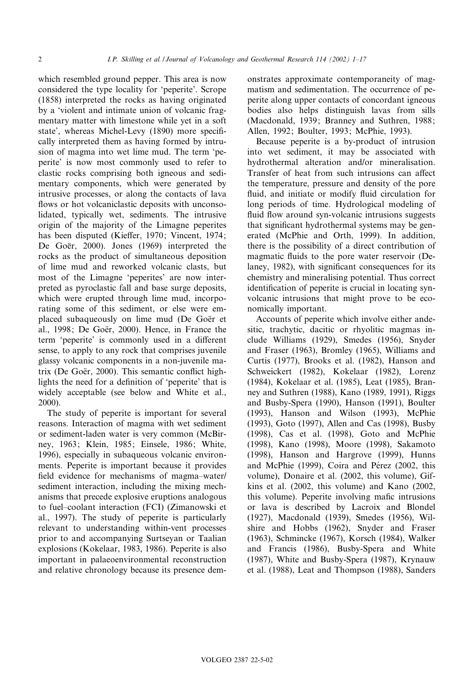which resembled ground pepper. This area is now considered the type locality for 'peperite'. Scrope (1858) interpreted the rocks as having originated by a 'violent and intimate union of volcanic fragmentary matter with limestone while yet in a soft state', whereas Michel-Levy (1890) more specifically interpreted them as having formed by intrusion of magma into wet lime mud. The term 'peperite' is now most commonly used to refer to clastic rocks comprising both igneous and sedimentary components, which were generated by intrusive processes, or along the contacts of lava flows or hot volcaniclastic deposits with unconsolidated, typically wet, sediments. The intrusive origin of the majority of the Limagne peperites has been disputed (Kieffer, 1970; Vincent, 1974; De Goër, 2000). Jones (1969) interpreted the rocks as the product of simultaneous deposition of lime mud and reworked volcanic clasts, but most of the Limagne 'peperites' are now interpreted as pyroclastic fall and base surge deposits, which were erupted through lime mud, incorporating some of this sediment, or else were emplaced subaqueously on lime mud (De Goër et al., 1998; De Goër, 2000). Hence, in France the term 'peperite' is commonly used in a different sense, to apply to any rock that comprises juvenile glassy volcanic components in a non-juvenile matrix (De Goër, 2000). This semantic conflict highlights the need for a definition of 'peperite' that is widely acceptable (see below and White et al., 2000).

The study of peperite is important for several reasons. Interaction of magma with wet sediment or sediment-laden water is very common (McBirney, 1963; Klein, 1985; Einsele, 1986; White, 1996), especially in subaqueous volcanic environments. Peperite is important because it provides field evidence for mechanisms of magma-water/ sediment interaction, including the mixing mechanisms that precede explosive eruptions analogous to fuel^coolant interaction (FCI) (Zimanowski et al., 1997). The study of peperite is particularly relevant to understanding within-vent processes prior to and accompanying Surtseyan or Taalian explosions (Kokelaar, 1983, 1986). Peperite is also important in palaeoenvironmental reconstruction and relative chronology because its presence dem-

onstrates approximate contemporaneity of magmatism and sedimentation. The occurrence of peperite along upper contacts of concordant igneous bodies also helps distinguish lavas from sills (Macdonald, 1939; Branney and Suthren, 1988; Allen, 1992; Boulter, 1993; McPhie, 1993).

Because peperite is a by-product of intrusion into wet sediment, it may be associated with hydrothermal alteration and/or mineralisation. Transfer of heat from such intrusions can affect the temperature, pressure and density of the pore fluid, and initiate or modify fluid circulation for long periods of time. Hydrological modeling of fluid flow around syn-volcanic intrusions suggests that significant hydrothermal systems may be generated (McPhie and Orth, 1999). In addition, there is the possibility of a direct contribution of magmatic fluids to the pore water reservoir (Delaney, 1982), with significant consequences for its chemistry and mineralising potential. Thus correct identification of peperite is crucial in locating synvolcanic intrusions that might prove to be economically important.

Accounts of peperite which involve either andesitic, trachytic, dacitic or rhyolitic magmas include Williams (1929), Smedes (1956), Snyder and Fraser (1963), Bromley (1965), Williams and Curtis (1977), Brooks et al. (1982), Hanson and Schweickert (1982), Kokelaar (1982), Lorenz (1984), Kokelaar et al. (1985), Leat (1985), Branney and Suthren (1988), Kano (1989, 1991), Riggs and Busby-Spera (1990), Hanson (1991), Boulter (1993), Hanson and Wilson (1993), McPhie (1993), Goto (1997), Allen and Cas (1998), Busby (1998), Cas et al. (1998), Goto and McPhie (1998), Kano (1998), Moore (1998), Sakamoto (1998), Hanson and Hargrove (1999), Hunns and McPhie (1999), Coira and Pérez (2002, this volume), Donaire et al. (2002, this volume), Gifkins et al. (2002, this volume) and Kano (2002, this volume). Peperite involving mafic intrusions or lava is described by Lacroix and Blondel (1927), Macdonald (1939), Smedes (1956), Wilshire and Hobbs (1962), Snyder and Fraser (1963), Schmincke (1967), Korsch (1984), Walker and Francis (1986), Busby-Spera and White (1987), White and Busby-Spera (1987), Krynauw et al. (1988), Leat and Thompson (1988), Sanders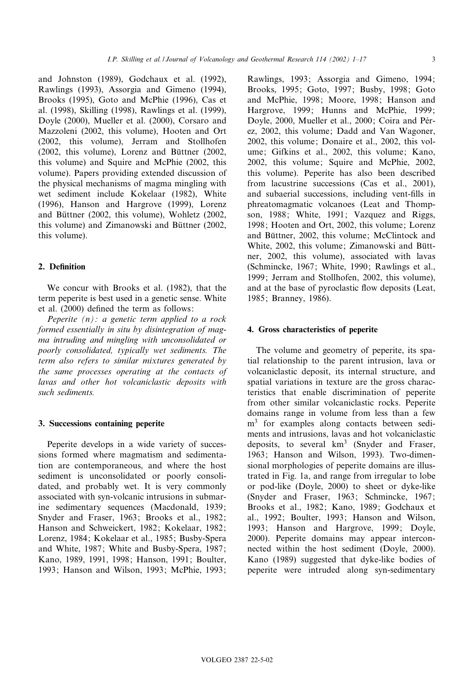and Johnston (1989), Godchaux et al. (1992), Rawlings (1993), Assorgia and Gimeno (1994), Brooks (1995), Goto and McPhie (1996), Cas et al. (1998), Skilling (1998), Rawlings et al. (1999), Doyle (2000), Mueller et al. (2000), Corsaro and Mazzoleni (2002, this volume), Hooten and Ort (2002, this volume), Jerram and Stollhofen  $(2002,$  this volume), Lorenz and Büttner  $(2002,$ this volume) and Squire and McPhie (2002, this volume). Papers providing extended discussion of the physical mechanisms of magma mingling with wet sediment include Kokelaar (1982), White (1996), Hanson and Hargrove (1999), Lorenz and Büttner (2002, this volume), Wohletz (2002, this volume) and Zimanowski and Büttner (2002, this volume).

# 2. Definition

We concur with Brooks et al. (1982), that the term peperite is best used in a genetic sense. White et al. (2000) defined the term as follows:

Peperite  $(n)$ : a genetic term applied to a rock formed essentially in situ by disintegration of magma intruding and mingling with unconsolidated or poorly consolidated, typically wet sediments. The term also refers to similar mixtures generated by the same processes operating at the contacts of lavas and other hot volcaniclastic deposits with such sediments.

#### 3. Successions containing peperite

Peperite develops in a wide variety of successions formed where magmatism and sedimentation are contemporaneous, and where the host sediment is unconsolidated or poorly consolidated, and probably wet. It is very commonly associated with syn-volcanic intrusions in submarine sedimentary sequences (Macdonald, 1939; Snyder and Fraser, 1963; Brooks et al., 1982; Hanson and Schweickert, 1982; Kokelaar, 1982; Lorenz, 1984; Kokelaar et al., 1985; Busby-Spera and White, 1987; White and Busby-Spera, 1987; Kano, 1989, 1991, 1998; Hanson, 1991; Boulter, 1993; Hanson and Wilson, 1993; McPhie, 1993;

Rawlings, 1993; Assorgia and Gimeno, 1994; Brooks, 1995; Goto, 1997; Busby, 1998; Goto and McPhie, 1998; Moore, 1998; Hanson and Hargrove, 1999; Hunns and McPhie, 1999; Doyle, 2000, Mueller et al., 2000; Coira and Pérez, 2002, this volume; Dadd and Van Wagoner, 2002, this volume; Donaire et al., 2002, this volume; Gifkins et al., 2002, this volume; Kano, 2002, this volume; Squire and McPhie, 2002, this volume). Peperite has also been described from lacustrine successions (Cas et al., 2001), and subaerial successions, including vent-fills in phreatomagmatic volcanoes (Leat and Thompson, 1988; White, 1991; Vazquez and Riggs, 1998; Hooten and Ort, 2002, this volume; Lorenz and Büttner, 2002, this volume; McClintock and White, 2002, this volume; Zimanowski and Büttner, 2002, this volume), associated with lavas (Schmincke, 1967; White, 1990; Rawlings et al., 1999; Jerram and Stollhofen, 2002, this volume), and at the base of pyroclastic flow deposits (Leat, 1985; Branney, 1986).

# 4. Gross characteristics of peperite

The volume and geometry of peperite, its spatial relationship to the parent intrusion, lava or volcaniclastic deposit, its internal structure, and spatial variations in texture are the gross characteristics that enable discrimination of peperite from other similar volcaniclastic rocks. Peperite domains range in volume from less than a few m<sup>3</sup> for examples along contacts between sediments and intrusions, lavas and hot volcaniclastic deposits, to several  $km<sup>3</sup>$  (Snyder and Fraser, 1963; Hanson and Wilson, 1993). Two-dimensional morphologies of peperite domains are illustrated in Fig. 1a, and range from irregular to lobe or pod-like (Doyle, 2000) to sheet or dyke-like (Snyder and Fraser, 1963; Schmincke, 1967; Brooks et al., 1982; Kano, 1989; Godchaux et al., 1992; Boulter, 1993; Hanson and Wilson, 1993; Hanson and Hargrove, 1999; Doyle, 2000). Peperite domains may appear interconnected within the host sediment (Doyle, 2000). Kano (1989) suggested that dyke-like bodies of peperite were intruded along syn-sedimentary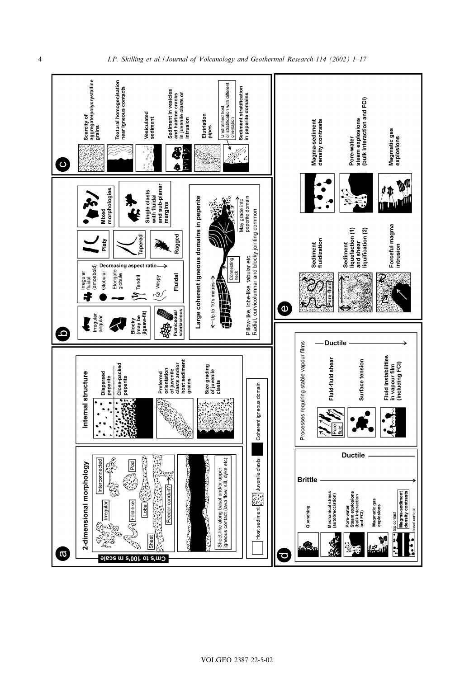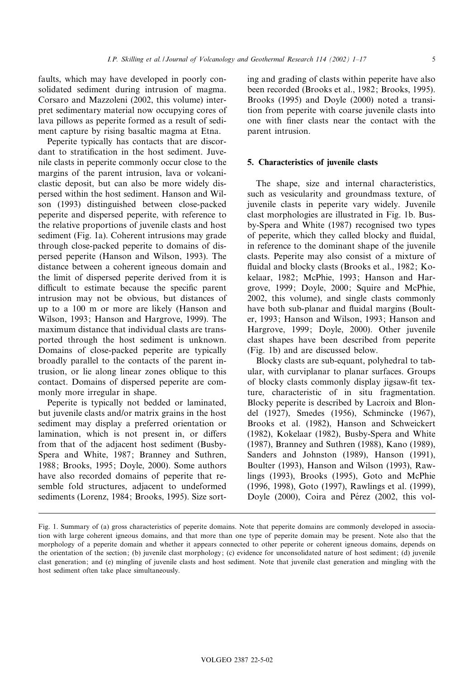faults, which may have developed in poorly consolidated sediment during intrusion of magma. Corsaro and Mazzoleni (2002, this volume) interpret sedimentary material now occupying cores of lava pillows as peperite formed as a result of sediment capture by rising basaltic magma at Etna.

Peperite typically has contacts that are discordant to stratification in the host sediment. Juvenile clasts in peperite commonly occur close to the margins of the parent intrusion, lava or volcaniclastic deposit, but can also be more widely dispersed within the host sediment. Hanson and Wilson (1993) distinguished between close-packed peperite and dispersed peperite, with reference to the relative proportions of juvenile clasts and host sediment (Fig. 1a). Coherent intrusions may grade through close-packed peperite to domains of dispersed peperite (Hanson and Wilson, 1993). The distance between a coherent igneous domain and the limit of dispersed peperite derived from it is difficult to estimate because the specific parent intrusion may not be obvious, but distances of up to a 100 m or more are likely (Hanson and Wilson, 1993; Hanson and Hargrove, 1999). The maximum distance that individual clasts are transported through the host sediment is unknown. Domains of close-packed peperite are typically broadly parallel to the contacts of the parent intrusion, or lie along linear zones oblique to this contact. Domains of dispersed peperite are commonly more irregular in shape.

Peperite is typically not bedded or laminated, but juvenile clasts and/or matrix grains in the host sediment may display a preferred orientation or lamination, which is not present in, or differs from that of the adjacent host sediment (Busby-Spera and White, 1987; Branney and Suthren, 1988; Brooks, 1995; Doyle, 2000). Some authors have also recorded domains of peperite that resemble fold structures, adjacent to undeformed sediments (Lorenz, 1984; Brooks, 1995). Size sorting and grading of clasts within peperite have also been recorded (Brooks et al., 1982; Brooks, 1995). Brooks (1995) and Doyle (2000) noted a transition from peperite with coarse juvenile clasts into one with ¢ner clasts near the contact with the parent intrusion.

# 5. Characteristics of juvenile clasts

The shape, size and internal characteristics, such as vesicularity and groundmass texture, of juvenile clasts in peperite vary widely. Juvenile clast morphologies are illustrated in Fig. 1b. Busby-Spera and White (1987) recognised two types of peperite, which they called blocky and £uidal, in reference to the dominant shape of the juvenile clasts. Peperite may also consist of a mixture of fluidal and blocky clasts (Brooks et al., 1982; Kokelaar, 1982; McPhie, 1993; Hanson and Hargrove, 1999; Doyle, 2000; Squire and McPhie, 2002, this volume), and single clasts commonly have both sub-planar and fluidal margins (Boulter, 1993; Hanson and Wilson, 1993; Hanson and Hargrove, 1999; Doyle, 2000). Other juvenile clast shapes have been described from peperite (Fig. 1b) and are discussed below.

Blocky clasts are sub-equant, polyhedral to tabular, with curviplanar to planar surfaces. Groups of blocky clasts commonly display jigsaw-fit texture, characteristic of in situ fragmentation. Blocky peperite is described by Lacroix and Blondel (1927), Smedes (1956), Schmincke (1967), Brooks et al. (1982), Hanson and Schweickert (1982), Kokelaar (1982), Busby-Spera and White (1987), Branney and Suthren (1988), Kano (1989), Sanders and Johnston (1989), Hanson (1991), Boulter (1993), Hanson and Wilson (1993), Rawlings (1993), Brooks (1995), Goto and McPhie (1996, 1998), Goto (1997), Rawlings et al. (1999), Doyle (2000), Coira and Pérez (2002, this vol-

Fig. 1. Summary of (a) gross characteristics of peperite domains. Note that peperite domains are commonly developed in association with large coherent igneous domains, and that more than one type of peperite domain may be present. Note also that the morphology of a peperite domain and whether it appears connected to other peperite or coherent igneous domains, depends on the orientation of the section; (b) juvenile clast morphology; (c) evidence for unconsolidated nature of host sediment; (d) juvenile clast generation; and (e) mingling of juvenile clasts and host sediment. Note that juvenile clast generation and mingling with the host sediment often take place simultaneously.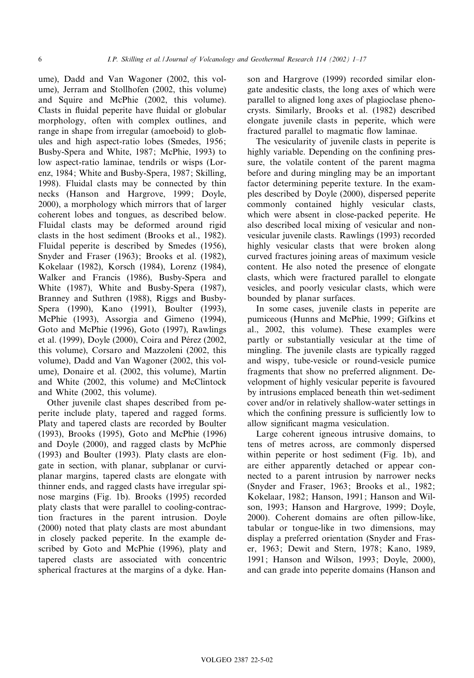ume), Dadd and Van Wagoner (2002, this volume), Jerram and Stollhofen (2002, this volume) and Squire and McPhie (2002, this volume). Clasts in fluidal peperite have fluidal or globular morphology, often with complex outlines, and range in shape from irregular (amoeboid) to globules and high aspect-ratio lobes (Smedes, 1956; Busby-Spera and White, 1987; McPhie, 1993) to low aspect-ratio laminae, tendrils or wisps (Lorenz, 1984; White and Busby-Spera, 1987; Skilling, 1998). Fluidal clasts may be connected by thin necks (Hanson and Hargrove, 1999; Doyle, 2000), a morphology which mirrors that of larger coherent lobes and tongues, as described below. Fluidal clasts may be deformed around rigid clasts in the host sediment (Brooks et al., 1982). Fluidal peperite is described by Smedes (1956), Snyder and Fraser (1963); Brooks et al. (1982), Kokelaar (1982), Korsch (1984), Lorenz (1984), Walker and Francis (1986), Busby-Spera and White (1987), White and Busby-Spera (1987), Branney and Suthren (1988), Riggs and Busby-Spera (1990), Kano (1991), Boulter (1993), McPhie (1993), Assorgia and Gimeno (1994), Goto and McPhie (1996), Goto (1997), Rawlings et al. (1999), Doyle (2000), Coira and Pérez (2002, this volume), Corsaro and Mazzoleni (2002, this volume), Dadd and Van Wagoner (2002, this volume), Donaire et al. (2002, this volume), Martin and White (2002, this volume) and McClintock and White (2002, this volume).

Other juvenile clast shapes described from peperite include platy, tapered and ragged forms. Platy and tapered clasts are recorded by Boulter (1993), Brooks (1995), Goto and McPhie (1996) and Doyle (2000), and ragged clasts by McPhie (1993) and Boulter (1993). Platy clasts are elongate in section, with planar, subplanar or curviplanar margins, tapered clasts are elongate with thinner ends, and ragged clasts have irregular spinose margins (Fig. 1b). Brooks (1995) recorded platy clasts that were parallel to cooling-contraction fractures in the parent intrusion. Doyle (2000) noted that platy clasts are most abundant in closely packed peperite. In the example described by Goto and McPhie (1996), platy and tapered clasts are associated with concentric spherical fractures at the margins of a dyke. Hanson and Hargrove (1999) recorded similar elongate andesitic clasts, the long axes of which were parallel to aligned long axes of plagioclase phenocrysts. Similarly, Brooks et al. (1982) described elongate juvenile clasts in peperite, which were fractured parallel to magmatic flow laminae.

The vesicularity of juvenile clasts in peperite is highly variable. Depending on the confining pressure, the volatile content of the parent magma before and during mingling may be an important factor determining peperite texture. In the examples described by Doyle (2000), dispersed peperite commonly contained highly vesicular clasts, which were absent in close-packed peperite. He also described local mixing of vesicular and nonvesicular juvenile clasts. Rawlings (1993) recorded highly vesicular clasts that were broken along curved fractures joining areas of maximum vesicle content. He also noted the presence of elongate clasts, which were fractured parallel to elongate vesicles, and poorly vesicular clasts, which were bounded by planar surfaces.

In some cases, juvenile clasts in peperite are pumiceous (Hunns and McPhie, 1999; Gifkins et al., 2002, this volume). These examples were partly or substantially vesicular at the time of mingling. The juvenile clasts are typically ragged and wispy, tube-vesicle or round-vesicle pumice fragments that show no preferred alignment. Development of highly vesicular peperite is favoured by intrusions emplaced beneath thin wet-sediment cover and/or in relatively shallow-water settings in which the confining pressure is sufficiently low to allow significant magma vesiculation.

Large coherent igneous intrusive domains, to tens of metres across, are commonly dispersed within peperite or host sediment (Fig. 1b), and are either apparently detached or appear connected to a parent intrusion by narrower necks (Snyder and Fraser, 1963; Brooks et al., 1982; Kokelaar, 1982; Hanson, 1991; Hanson and Wilson, 1993; Hanson and Hargrove, 1999; Doyle, 2000). Coherent domains are often pillow-like, tabular or tongue-like in two dimensions, may display a preferred orientation (Snyder and Fraser, 1963; Dewit and Stern, 1978; Kano, 1989, 1991; Hanson and Wilson, 1993; Doyle, 2000), and can grade into peperite domains (Hanson and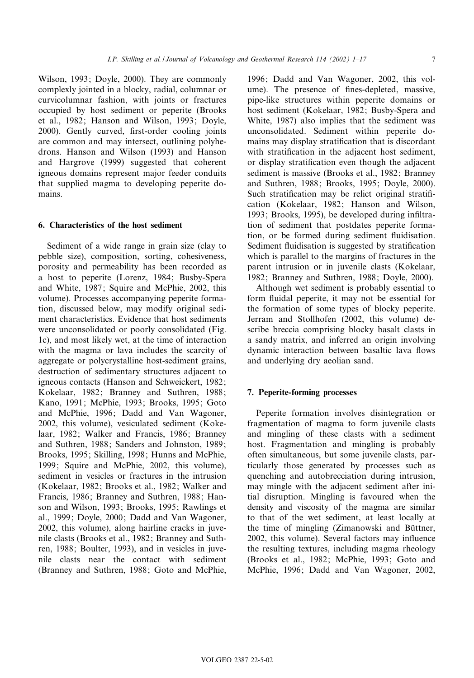Wilson, 1993; Doyle, 2000). They are commonly complexly jointed in a blocky, radial, columnar or curvicolumnar fashion, with joints or fractures occupied by host sediment or peperite (Brooks et al., 1982; Hanson and Wilson, 1993; Doyle, 2000). Gently curved, first-order cooling joints are common and may intersect, outlining polyhedrons. Hanson and Wilson (1993) and Hanson and Hargrove (1999) suggested that coherent igneous domains represent major feeder conduits that supplied magma to developing peperite domains.

# 6. Characteristics of the host sediment

Sediment of a wide range in grain size (clay to pebble size), composition, sorting, cohesiveness, porosity and permeability has been recorded as a host to peperite (Lorenz, 1984; Busby-Spera and White, 1987; Squire and McPhie, 2002, this volume). Processes accompanying peperite formation, discussed below, may modify original sediment characteristics. Evidence that host sediments were unconsolidated or poorly consolidated (Fig. 1c), and most likely wet, at the time of interaction with the magma or lava includes the scarcity of aggregate or polycrystalline host-sediment grains, destruction of sedimentary structures adjacent to igneous contacts (Hanson and Schweickert, 1982; Kokelaar, 1982; Branney and Suthren, 1988; Kano, 1991; McPhie, 1993; Brooks, 1995; Goto and McPhie, 1996; Dadd and Van Wagoner, 2002, this volume), vesiculated sediment (Kokelaar, 1982; Walker and Francis, 1986; Branney and Suthren, 1988; Sanders and Johnston, 1989; Brooks, 1995; Skilling, 1998; Hunns and McPhie, 1999; Squire and McPhie, 2002, this volume), sediment in vesicles or fractures in the intrusion (Kokelaar, 1982; Brooks et al., 1982; Walker and Francis, 1986; Branney and Suthren, 1988; Hanson and Wilson, 1993; Brooks, 1995; Rawlings et al., 1999; Doyle, 2000; Dadd and Van Wagoner, 2002, this volume), along hairline cracks in juvenile clasts (Brooks et al., 1982; Branney and Suthren, 1988; Boulter, 1993), and in vesicles in juvenile clasts near the contact with sediment (Branney and Suthren, 1988; Goto and McPhie,

1996; Dadd and Van Wagoner, 2002, this volume). The presence of fines-depleted, massive, pipe-like structures within peperite domains or host sediment (Kokelaar, 1982; Busby-Spera and White, 1987) also implies that the sediment was unconsolidated. Sediment within peperite domains may display stratification that is discordant with stratification in the adjacent host sediment, or display stratification even though the adjacent sediment is massive (Brooks et al., 1982; Branney and Suthren, 1988; Brooks, 1995; Doyle, 2000). Such stratification may be relict original stratification (Kokelaar, 1982; Hanson and Wilson, 1993; Brooks, 1995), be developed during infiltration of sediment that postdates peperite formation, or be formed during sediment fluidisation. Sediment fluidisation is suggested by stratification which is parallel to the margins of fractures in the parent intrusion or in juvenile clasts (Kokelaar, 1982; Branney and Suthren, 1988; Doyle, 2000).

Although wet sediment is probably essential to form fluidal peperite, it may not be essential for the formation of some types of blocky peperite. Jerram and Stollhofen (2002, this volume) describe breccia comprising blocky basalt clasts in a sandy matrix, and inferred an origin involving dynamic interaction between basaltic lava flows and underlying dry aeolian sand.

## 7. Peperite-forming processes

Peperite formation involves disintegration or fragmentation of magma to form juvenile clasts and mingling of these clasts with a sediment host. Fragmentation and mingling is probably often simultaneous, but some juvenile clasts, particularly those generated by processes such as quenching and autobrecciation during intrusion, may mingle with the adjacent sediment after initial disruption. Mingling is favoured when the density and viscosity of the magma are similar to that of the wet sediment, at least locally at the time of mingling (Zimanowski and Büttner, 2002, this volume). Several factors may influence the resulting textures, including magma rheology (Brooks et al., 1982; McPhie, 1993; Goto and McPhie, 1996; Dadd and Van Wagoner, 2002,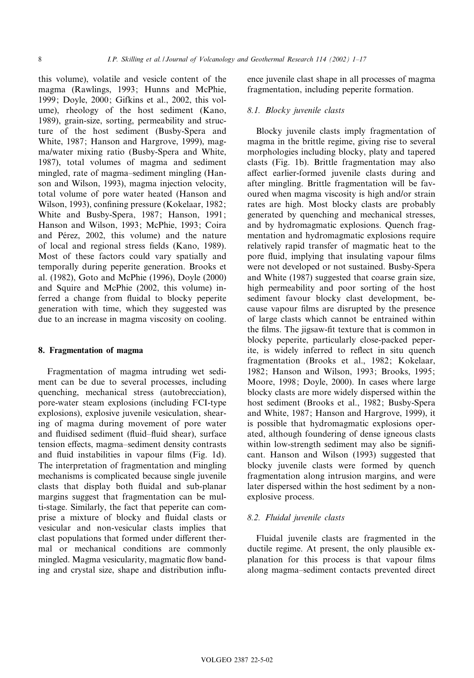this volume), volatile and vesicle content of the magma (Rawlings, 1993; Hunns and McPhie, 1999; Doyle, 2000; Gifkins et al., 2002, this volume), rheology of the host sediment (Kano, 1989), grain-size, sorting, permeability and structure of the host sediment (Busby-Spera and White, 1987; Hanson and Hargrove, 1999), magma/water mixing ratio (Busby-Spera and White, 1987), total volumes of magma and sediment mingled, rate of magma-sediment mingling (Hanson and Wilson, 1993), magma injection velocity, total volume of pore water heated (Hanson and Wilson, 1993), confining pressure (Kokelaar, 1982; White and Busby-Spera, 1987; Hanson, 1991; Hanson and Wilson, 1993; McPhie, 1993; Coira and Pérez, 2002, this volume) and the nature of local and regional stress fields (Kano, 1989). Most of these factors could vary spatially and temporally during peperite generation. Brooks et al. (1982), Goto and McPhie (1996), Doyle (2000) and Squire and McPhie (2002, this volume) inferred a change from fluidal to blocky peperite generation with time, which they suggested was due to an increase in magma viscosity on cooling.

#### 8. Fragmentation of magma

Fragmentation of magma intruding wet sediment can be due to several processes, including quenching, mechanical stress (autobrecciation), pore-water steam explosions (including FCI-type explosions), explosive juvenile vesiculation, shearing of magma during movement of pore water and fluidised sediment (fluid-fluid shear), surface tension effects, magma-sediment density contrasts and fluid instabilities in vapour films (Fig. 1d). The interpretation of fragmentation and mingling mechanisms is complicated because single juvenile clasts that display both fluidal and sub-planar margins suggest that fragmentation can be multi-stage. Similarly, the fact that peperite can comprise a mixture of blocky and fluidal clasts or vesicular and non-vesicular clasts implies that clast populations that formed under different thermal or mechanical conditions are commonly mingled. Magma vesicularity, magmatic flow banding and crystal size, shape and distribution influence juvenile clast shape in all processes of magma fragmentation, including peperite formation.

#### 8.1. Blocky juvenile clasts

Blocky juvenile clasts imply fragmentation of magma in the brittle regime, giving rise to several morphologies including blocky, platy and tapered clasts (Fig. 1b). Brittle fragmentation may also affect earlier-formed juvenile clasts during and after mingling. Brittle fragmentation will be favoured when magma viscosity is high and/or strain rates are high. Most blocky clasts are probably generated by quenching and mechanical stresses, and by hydromagmatic explosions. Quench fragmentation and hydromagmatic explosions require relatively rapid transfer of magmatic heat to the pore fluid, implying that insulating vapour films were not developed or not sustained. Busby-Spera and White (1987) suggested that coarse grain size, high permeability and poor sorting of the host sediment favour blocky clast development, because vapour ¢lms are disrupted by the presence of large clasts which cannot be entrained within the films. The jigsaw-fit texture that is common in blocky peperite, particularly close-packed peperite, is widely inferred to reflect in situ quench fragmentation (Brooks et al., 1982; Kokelaar, 1982; Hanson and Wilson, 1993; Brooks, 1995; Moore, 1998; Doyle, 2000). In cases where large blocky clasts are more widely dispersed within the host sediment (Brooks et al., 1982; Busby-Spera and White, 1987; Hanson and Hargrove, 1999), it is possible that hydromagmatic explosions operated, although foundering of dense igneous clasts within low-strength sediment may also be significant. Hanson and Wilson (1993) suggested that blocky juvenile clasts were formed by quench fragmentation along intrusion margins, and were later dispersed within the host sediment by a nonexplosive process.

# 8.2. Fluidal juvenile clasts

Fluidal juvenile clasts are fragmented in the ductile regime. At present, the only plausible explanation for this process is that vapour films along magma-sediment contacts prevented direct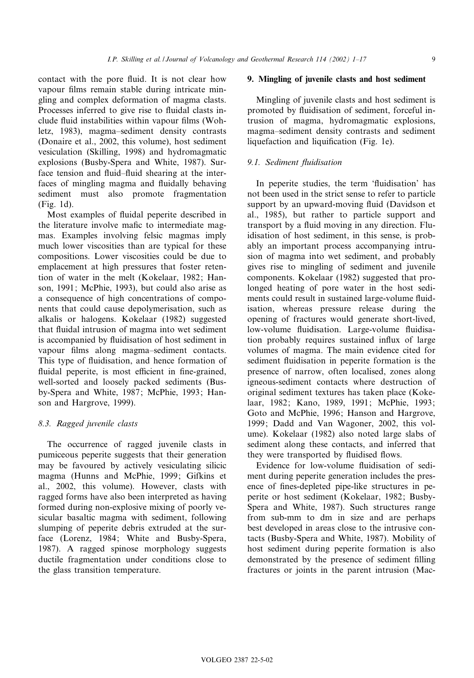contact with the pore fluid. It is not clear how vapour films remain stable during intricate mingling and complex deformation of magma clasts. Processes inferred to give rise to fluidal clasts include fluid instabilities within vapour films (Wohletz, 1983), magma-sediment density contrasts (Donaire et al., 2002, this volume), host sediment vesiculation (Skilling, 1998) and hydromagmatic explosions (Busby-Spera and White, 1987). Surface tension and fluid-fluid shearing at the interfaces of mingling magma and fluidally behaving sediment must also promote fragmentation (Fig. 1d).

Most examples of fluidal peperite described in the literature involve mafic to intermediate magmas. Examples involving felsic magmas imply much lower viscosities than are typical for these compositions. Lower viscosities could be due to emplacement at high pressures that foster retention of water in the melt (Kokelaar, 1982; Hanson, 1991; McPhie, 1993), but could also arise as a consequence of high concentrations of components that could cause depolymerisation, such as alkalis or halogens. Kokelaar (1982) suggested that fluidal intrusion of magma into wet sediment is accompanied by fluidisation of host sediment in vapour films along magma-sediment contacts. This type of fluidisation, and hence formation of fluidal peperite, is most efficient in fine-grained, well-sorted and loosely packed sediments (Busby-Spera and White, 1987; McPhie, 1993; Hanson and Hargrove, 1999).

## 8.3. Ragged juvenile clasts

The occurrence of ragged juvenile clasts in pumiceous peperite suggests that their generation may be favoured by actively vesiculating silicic magma (Hunns and McPhie, 1999; Gifkins et al., 2002, this volume). However, clasts with ragged forms have also been interpreted as having formed during non-explosive mixing of poorly vesicular basaltic magma with sediment, following slumping of peperite debris extruded at the surface (Lorenz, 1984; White and Busby-Spera, 1987). A ragged spinose morphology suggests ductile fragmentation under conditions close to the glass transition temperature.

#### 9. Mingling of juvenile clasts and host sediment

Mingling of juvenile clasts and host sediment is promoted by fluidisation of sediment, forceful intrusion of magma, hydromagmatic explosions, magma^sediment density contrasts and sediment liquefaction and liquification (Fig. 1e).

#### 9.1. Sediment fluidisation

In peperite studies, the term 'fluidisation' has not been used in the strict sense to refer to particle support by an upward-moving fluid (Davidson et al., 1985), but rather to particle support and transport by a fluid moving in any direction. Fluidisation of host sediment, in this sense, is probably an important process accompanying intrusion of magma into wet sediment, and probably gives rise to mingling of sediment and juvenile components. Kokelaar (1982) suggested that prolonged heating of pore water in the host sediments could result in sustained large-volume fluidisation, whereas pressure release during the opening of fractures would generate short-lived, low-volume fluidisation. Large-volume fluidisation probably requires sustained influx of large volumes of magma. The main evidence cited for sediment fluidisation in peperite formation is the presence of narrow, often localised, zones along igneous-sediment contacts where destruction of original sediment textures has taken place (Kokelaar, 1982; Kano, 1989, 1991; McPhie, 1993; Goto and McPhie, 1996; Hanson and Hargrove, 1999; Dadd and Van Wagoner, 2002, this volume). Kokelaar (1982) also noted large slabs of sediment along these contacts, and inferred that they were transported by fluidised flows.

Evidence for low-volume fluidisation of sediment during peperite generation includes the presence of fines-depleted pipe-like structures in peperite or host sediment (Kokelaar, 1982; Busby-Spera and White, 1987). Such structures range from sub-mm to dm in size and are perhaps best developed in areas close to the intrusive contacts (Busby-Spera and White, 1987). Mobility of host sediment during peperite formation is also demonstrated by the presence of sediment filling fractures or joints in the parent intrusion (Mac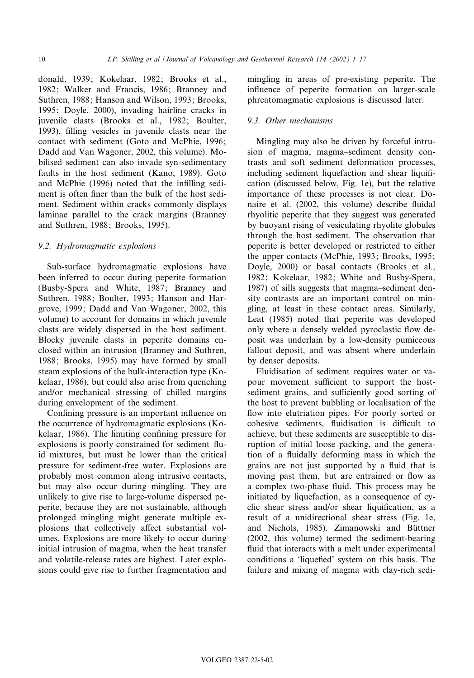donald, 1939; Kokelaar, 1982; Brooks et al., 1982; Walker and Francis, 1986; Branney and Suthren, 1988; Hanson and Wilson, 1993; Brooks, 1995; Doyle, 2000), invading hairline cracks in juvenile clasts (Brooks et al., 1982; Boulter, 1993), filling vesicles in juvenile clasts near the contact with sediment (Goto and McPhie, 1996; Dadd and Van Wagoner, 2002, this volume). Mobilised sediment can also invade syn-sedimentary faults in the host sediment (Kano, 1989). Goto and McPhie (1996) noted that the infilling sediment is often finer than the bulk of the host sediment. Sediment within cracks commonly displays laminae parallel to the crack margins (Branney and Suthren, 1988; Brooks, 1995).

#### 9.2. Hydromagmatic explosions

Sub-surface hydromagmatic explosions have been inferred to occur during peperite formation (Busby-Spera and White, 1987; Branney and Suthren, 1988; Boulter, 1993; Hanson and Hargrove, 1999; Dadd and Van Wagoner, 2002, this volume) to account for domains in which juvenile clasts are widely dispersed in the host sediment. Blocky juvenile clasts in peperite domains enclosed within an intrusion (Branney and Suthren, 1988; Brooks, 1995) may have formed by small steam explosions of the bulk-interaction type (Kokelaar, 1986), but could also arise from quenching and/or mechanical stressing of chilled margins during envelopment of the sediment.

Confining pressure is an important influence on the occurrence of hydromagmatic explosions (Kokelaar, 1986). The limiting confining pressure for explosions is poorly constrained for sediment-fluid mixtures, but must be lower than the critical pressure for sediment-free water. Explosions are probably most common along intrusive contacts, but may also occur during mingling. They are unlikely to give rise to large-volume dispersed peperite, because they are not sustainable, although prolonged mingling might generate multiple explosions that collectively affect substantial volumes. Explosions are more likely to occur during initial intrusion of magma, when the heat transfer and volatile-release rates are highest. Later explosions could give rise to further fragmentation and

mingling in areas of pre-existing peperite. The influence of peperite formation on larger-scale phreatomagmatic explosions is discussed later.

# 9.3. Other mechanisms

Mingling may also be driven by forceful intrusion of magma, magma-sediment density contrasts and soft sediment deformation processes, including sediment liquefaction and shear liquification (discussed below, Fig. 1e), but the relative importance of these processes is not clear. Donaire et al. (2002, this volume) describe fluidal rhyolitic peperite that they suggest was generated by buoyant rising of vesiculating rhyolite globules through the host sediment. The observation that peperite is better developed or restricted to either the upper contacts (McPhie, 1993; Brooks, 1995; Doyle, 2000) or basal contacts (Brooks et al., 1982; Kokelaar, 1982; White and Busby-Spera, 1987) of sills suggests that magma-sediment density contrasts are an important control on mingling, at least in these contact areas. Similarly, Leat (1985) noted that peperite was developed only where a densely welded pyroclastic flow deposit was underlain by a low-density pumiceous fallout deposit, and was absent where underlain by denser deposits.

Fluidisation of sediment requires water or vapour movement sufficient to support the hostsediment grains, and sufficiently good sorting of the host to prevent bubbling or localisation of the flow into elutriation pipes. For poorly sorted or cohesive sediments, fluidisation is difficult to achieve, but these sediments are susceptible to disruption of initial loose packing, and the generation of a fluidally deforming mass in which the grains are not just supported by a fluid that is moving past them, but are entrained or flow as a complex two-phase fluid. This process may be initiated by liquefaction, as a consequence of cyclic shear stress and/or shear liquification, as a result of a unidirectional shear stress (Fig. 1e, and Nichols, 1985). Zimanowski and Büttner (2002, this volume) termed the sediment-bearing fluid that interacts with a melt under experimental conditions a 'liquefied' system on this basis. The failure and mixing of magma with clay-rich sedi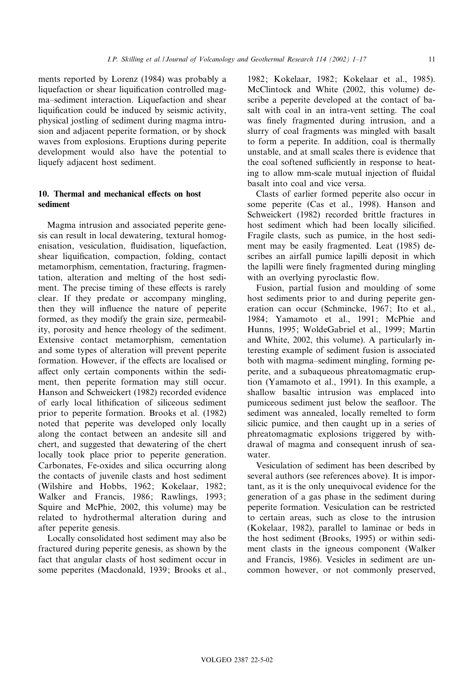ments reported by Lorenz (1984) was probably a liquefaction or shear liquification controlled magma-sediment interaction. Liquefaction and shear liquification could be induced by seismic activity, physical jostling of sediment during magma intrusion and adjacent peperite formation, or by shock waves from explosions. Eruptions during peperite development would also have the potential to liquefy adjacent host sediment.

# 10. Thermal and mechanical effects on host sediment

Magma intrusion and associated peperite genesis can result in local dewatering, textural homogenisation, vesiculation, fluidisation, liquefaction, shear liquification, compaction, folding, contact metamorphism, cementation, fracturing, fragmentation, alteration and melting of the host sediment. The precise timing of these effects is rarely clear. If they predate or accompany mingling, then they will influence the nature of peperite formed, as they modify the grain size, permeability, porosity and hence rheology of the sediment. Extensive contact metamorphism, cementation and some types of alteration will prevent peperite formation. However, if the effects are localised or affect only certain components within the sediment, then peperite formation may still occur. Hanson and Schweickert (1982) recorded evidence of early local lithification of siliceous sediment prior to peperite formation. Brooks et al. (1982) noted that peperite was developed only locally along the contact between an andesite sill and chert, and suggested that dewatering of the chert locally took place prior to peperite generation. Carbonates, Fe-oxides and silica occurring along the contacts of juvenile clasts and host sediment (Wilshire and Hobbs, 1962; Kokelaar, 1982; Walker and Francis, 1986; Rawlings, 1993; Squire and McPhie, 2002, this volume) may be related to hydrothermal alteration during and after peperite genesis.

Locally consolidated host sediment may also be fractured during peperite genesis, as shown by the fact that angular clasts of host sediment occur in some peperites (Macdonald, 1939; Brooks et al.,

1982; Kokelaar, 1982; Kokelaar et al., 1985). McClintock and White (2002, this volume) describe a peperite developed at the contact of basalt with coal in an intra-vent setting. The coal was finely fragmented during intrusion, and a slurry of coal fragments was mingled with basalt to form a peperite. In addition, coal is thermally unstable, and at small scales there is evidence that the coal softened sufficiently in response to heating to allow mm-scale mutual injection of fluidal basalt into coal and vice versa.

Clasts of earlier formed peperite also occur in some peperite (Cas et al., 1998). Hanson and Schweickert (1982) recorded brittle fractures in host sediment which had been locally silicified. Fragile clasts, such as pumice, in the host sediment may be easily fragmented. Leat (1985) describes an airfall pumice lapilli deposit in which the lapilli were finely fragmented during mingling with an overlying pyroclastic flow.

Fusion, partial fusion and moulding of some host sediments prior to and during peperite generation can occur (Schmincke, 1967; Ito et al., 1984; Yamamoto et al., 1991; McPhie and Hunns, 1995; WoldeGabriel et al., 1999; Martin and White, 2002, this volume). A particularly interesting example of sediment fusion is associated both with magma-sediment mingling, forming peperite, and a subaqueous phreatomagmaticeruption (Yamamoto et al., 1991). In this example, a shallow basaltic intrusion was emplaced into pumiceous sediment just below the seafloor. The sediment was annealed, locally remelted to form silicic pumice, and then caught up in a series of phreatomagmatic explosions triggered by withdrawal of magma and consequent inrush of seawater.

Vesiculation of sediment has been described by several authors (see references above). It is important, as it is the only unequivocal evidence for the generation of a gas phase in the sediment during peperite formation. Vesiculation can be restricted to certain areas, such as close to the intrusion (Kokelaar, 1982), parallel to laminae or beds in the host sediment (Brooks, 1995) or within sediment clasts in the igneous component (Walker and Francis, 1986). Vesicles in sediment are uncommon however, or not commonly preserved,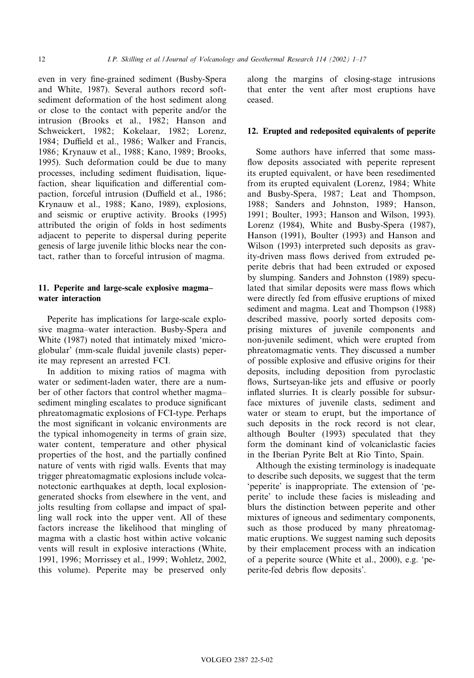even in very fine-grained sediment (Busby-Spera and White, 1987). Several authors record softsediment deformation of the host sediment along or close to the contact with peperite and/or the intrusion (Brooks et al., 1982; Hanson and Schweickert, 1982; Kokelaar, 1982; Lorenz, 1984; Duffield et al., 1986; Walker and Francis, 1986; Krynauw et al., 1988; Kano, 1989; Brooks, 1995). Such deformation could be due to many processes, including sediment fluidisation, liquefaction, shear liquification and differential compaction, forceful intrusion (Duffield et al., 1986; Krynauw et al., 1988; Kano, 1989), explosions, and seismic or eruptive activity. Brooks (1995) attributed the origin of folds in host sediments adjacent to peperite to dispersal during peperite genesis of large juvenile lithic blocks near the contact, rather than to forceful intrusion of magma.

# 11. Peperite and large-scale explosive magma^ water interaction

Peperite has implications for large-scale explosive magma-water interaction. Busby-Spera and White (1987) noted that intimately mixed 'microglobular' (mm-scale fluidal juvenile clasts) peperite may represent an arrested FCI.

In addition to mixing ratios of magma with water or sediment-laden water, there are a number of other factors that control whether magma^ sediment mingling escalates to produce significant phreatomagmatic explosions of FCI-type. Perhaps the most significant in volcanic environments are the typical inhomogeneity in terms of grain size, water content, temperature and other physical properties of the host, and the partially confined nature of vents with rigid walls. Events that may trigger phreatomagmatic explosions include volcanotectonic earthquakes at depth, local explosiongenerated shocks from elsewhere in the vent, and jolts resulting from collapse and impact of spalling wall rock into the upper vent. All of these factors increase the likelihood that mingling of magma with a clastic host within active volcanic vents will result in explosive interactions (White, 1991, 1996; Morrissey et al., 1999; Wohletz, 2002, this volume). Peperite may be preserved only along the margins of closing-stage intrusions that enter the vent after most eruptions have ceased.

# 12. Erupted and redeposited equivalents of peperite

Some authors have inferred that some mass flow deposits associated with peperite represent its erupted equivalent, or have been resedimented from its erupted equivalent (Lorenz, 1984; White and Busby-Spera, 1987; Leat and Thompson, 1988; Sanders and Johnston, 1989; Hanson, 1991; Boulter, 1993; Hanson and Wilson, 1993). Lorenz (1984), White and Busby-Spera (1987), Hanson (1991), Boulter (1993) and Hanson and Wilson (1993) interpreted such deposits as gravity-driven mass flows derived from extruded peperite debris that had been extruded or exposed by slumping. Sanders and Johnston (1989) speculated that similar deposits were mass flows which were directly fed from effusive eruptions of mixed sediment and magma. Leat and Thompson (1988) described massive, poorly sorted deposits comprising mixtures of juvenile components and non-juvenile sediment, which were erupted from phreatomagmatic vents. They discussed a number of possible explosive and effusive origins for their deposits, including deposition from pyroclastic flows, Surtseyan-like jets and effusive or poorly inflated slurries. It is clearly possible for subsurface mixtures of juvenile clasts, sediment and water or steam to erupt, but the importance of such deposits in the rock record is not clear, although Boulter (1993) speculated that they form the dominant kind of volcaniclastic facies in the Iberian Pyrite Belt at Rio Tinto, Spain.

Although the existing terminology is inadequate to describe such deposits, we suggest that the term 'peperite' is inappropriate. The extension of 'peperite' to include these facies is misleading and blurs the distinction between peperite and other mixtures of igneous and sedimentary components, such as those produced by many phreatomagmatic eruptions. We suggest naming such deposits by their emplacement process with an indication of a peperite source (White et al., 2000), e.g. 'peperite-fed debris flow deposits'.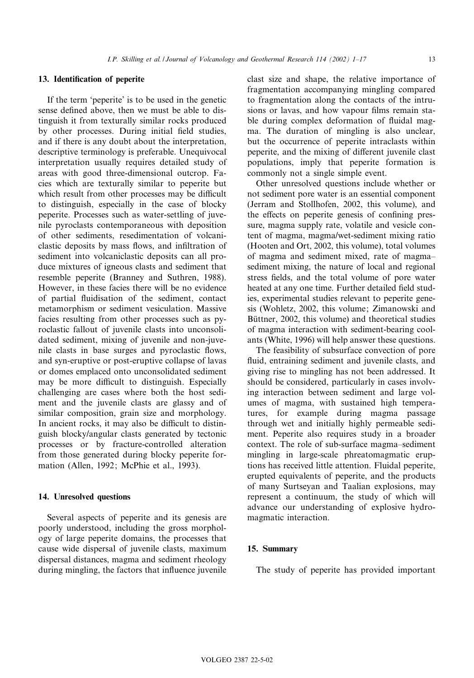# 13. Identification of peperite

If the term 'peperite' is to be used in the genetic sense defined above, then we must be able to distinguish it from texturally similar rocks produced by other processes. During initial field studies, and if there is any doubt about the interpretation, descriptive terminology is preferable. Unequivocal interpretation usually requires detailed study of areas with good three-dimensional outcrop. Facies which are texturally similar to peperite but which result from other processes may be difficult to distinguish, especially in the case of blocky peperite. Processes such as water-settling of juvenile pyroclasts contemporaneous with deposition of other sediments, resedimentation of volcaniclastic deposits by mass flows, and infiltration of sediment into volcaniclastic deposits can all produce mixtures of igneous clasts and sediment that resemble peperite (Branney and Suthren, 1988). However, in these facies there will be no evidence of partial fluidisation of the sediment, contact metamorphism or sediment vesiculation. Massive facies resulting from other processes such as pyroclastic fallout of juvenile clasts into unconsolidated sediment, mixing of juvenile and non-juvenile clasts in base surges and pyroclastic flows, and syn-eruptive or post-eruptive collapse of lavas or domes emplaced onto unconsolidated sediment may be more difficult to distinguish. Especially challenging are cases where both the host sediment and the juvenile clasts are glassy and of similar composition, grain size and morphology. In ancient rocks, it may also be difficult to distinguish blocky/angular clasts generated by tectonic processes or by fracture-controlled alteration from those generated during blocky peperite formation (Allen, 1992; McPhie et al., 1993).

# 14. Unresolved questions

Several aspects of peperite and its genesis are poorly understood, including the gross morphology of large peperite domains, the processes that cause wide dispersal of juvenile clasts, maximum dispersal distances, magma and sediment rheology during mingling, the factors that influence juvenile

clast size and shape, the relative importance of fragmentation accompanying mingling compared to fragmentation along the contacts of the intrusions or lavas, and how vapour films remain stable during complex deformation of fluidal magma. The duration of mingling is also unclear, but the occurrence of peperite intraclasts within peperite, and the mixing of different juvenile clast populations, imply that peperite formation is commonly not a single simple event.

Other unresolved questions include whether or not sediment pore water is an essential component (Jerram and Stollhofen, 2002, this volume), and the effects on peperite genesis of confining pressure, magma supply rate, volatile and vesicle content of magma, magma/wet-sediment mixing ratio (Hooten and Ort, 2002, this volume), total volumes of magma and sediment mixed, rate of magma^ sediment mixing, the nature of local and regional stress fields, and the total volume of pore water heated at any one time. Further detailed field studies, experimental studies relevant to peperite genesis (Wohletz, 2002, this volume; Zimanowski and Büttner, 2002, this volume) and theoretical studies of magma interaction with sediment-bearing coolants (White, 1996) will help answer these questions.

The feasibility of subsurface convection of pore fluid, entraining sediment and juvenile clasts, and giving rise to mingling has not been addressed. It should be considered, particularly in cases involving interaction between sediment and large volumes of magma, with sustained high temperatures, for example during magma passage through wet and initially highly permeable sediment. Peperite also requires study in a broader context. The role of sub-surface magma-sediment mingling in large-scale phreatomagmatic eruptions has received little attention. Fluidal peperite, erupted equivalents of peperite, and the products of many Surtseyan and Taalian explosions, may represent a continuum, the study of which will advance our understanding of explosive hydromagmatic interaction.

# 15. Summary

The study of peperite has provided important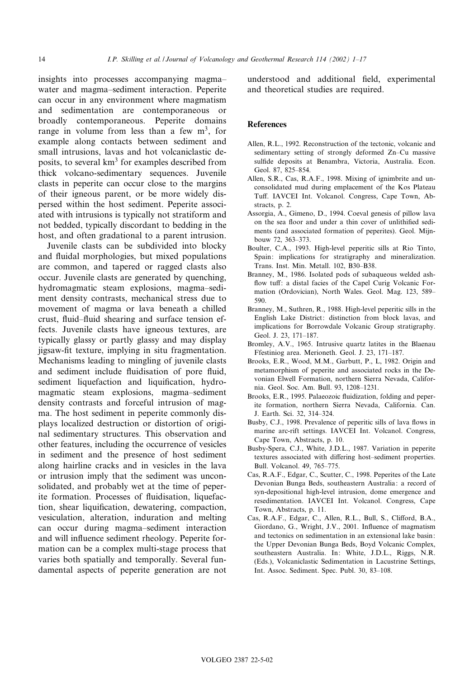insights into processes accompanying magma^ water and magma-sediment interaction. Peperite can occur in any environment where magmatism and sedimentation are contemporaneous or broadly contemporaneous. Peperite domains range in volume from less than a few  $m<sup>3</sup>$ , for example along contacts between sediment and small intrusions, lavas and hot volcaniclastic deposits, to several  $km<sup>3</sup>$  for examples described from thick volcano-sedimentary sequences. Juvenile clasts in peperite can occur close to the margins of their igneous parent, or be more widely dispersed within the host sediment. Peperite associated with intrusions is typically not stratiform and not bedded, typically discordant to bedding in the host, and often gradational to a parent intrusion.

Juvenile clasts can be subdivided into blocky and fluidal morphologies, but mixed populations are common, and tapered or ragged clasts also occur. Juvenile clasts are generated by quenching, hydromagmatic steam explosions, magma-sediment density contrasts, mechanical stress due to movement of magma or lava beneath a chilled crust, fluid-fluid shearing and surface tension effects. Juvenile clasts have igneous textures, are typically glassy or partly glassy and may display jigsaw-¢t texture, implying in situ fragmentation. Mechanisms leading to mingling of juvenile clasts and sediment include fluidisation of pore fluid, sediment liquefaction and liquification, hydromagmatic steam explosions, magma-sediment density contrasts and forceful intrusion of magma. The host sediment in peperite commonly displays localized destruction or distortion of original sedimentary structures. This observation and other features, including the occurrence of vesicles in sediment and the presence of host sediment along hairline cracks and in vesicles in the lava or intrusion imply that the sediment was unconsolidated, and probably wet at the time of peperite formation. Processes of fluidisation, liquefaction, shear liquification, dewatering, compaction, vesiculation, alteration, induration and melting can occur during magma-sediment interaction and will influence sediment rheology. Peperite formation can be a complex multi-stage process that varies both spatially and temporally. Several fundamental aspects of peperite generation are not

understood and additional field, experimental and theoretical studies are required.

#### **References**

- Allen, R.L., 1992. Reconstruction of the tectonic, volcanic and sedimentary setting of strongly deformed Zn-Cu massive sulfide deposits at Benambra, Victoria, Australia. Econ. Geol. 87, 825-854.
- Allen, S.R., Cas, R.A.F., 1998. Mixing of ignimbrite and unconsolidated mud during emplacement of the Kos Plateau Tuff. IAVCEI Int. Volcanol. Congress, Cape Town, Abstracts, p. 2.
- Assorgia, A., Gimeno, D., 1994. Coeval genesis of pillow lava on the sea floor and under a thin cover of unlithified sediments (and associated formation of peperites). Geol. Mijnbouw 72, 363-373.
- Boulter, C.A., 1993. High-level peperitic sills at Rio Tinto, Spain: implications for stratigraphy and mineralization. Trans. Inst. Min. Metall. 102, B30^B38.
- Branney, M., 1986. Isolated pods of subaqueous welded ash flow tuff: a distal facies of the Capel Curig Volcanic Formation (Ordovician), North Wales. Geol. Mag. 123, 589^ 590.
- Branney, M., Suthren, R., 1988. High-level peperitic sills in the English Lake District: distinction from block lavas, and implications for Borrowdale Volcanic Group stratigraphy. Geol. J. 23, 171-187.
- Bromley, A.V., 1965. Intrusive quartz latites in the Blaenau Ffestiniog area. Merioneth. Geol. J. 23, 171^187.
- Brooks, E.R., Wood, M.M., Garbutt, P., L, 1982. Origin and metamorphism of peperite and associated rocks in the Devonian Elwell Formation, northern Sierra Nevada, California. Geol. Soc. Am. Bull. 93, 1208^1231.
- Brooks, E.R., 1995. Palaeozoic fluidization, folding and peperite formation, northern Sierra Nevada, California. Can. J. Earth. Sci. 32, 314^324.
- Busby, C.J., 1998. Prevalence of peperitic sills of lava flows in marine arc-rift settings. IAVCEI Int. Volcanol. Congress, Cape Town, Abstracts, p. 10.
- Busby-Spera, C.J., White, J.D.L., 1987. Variation in peperite textures associated with differing host-sediment properties. Bull. Volcanol. 49, 765^775.
- Cas, R.A.F., Edgar, C., Scutter, C., 1998. Peperites of the Late Devonian Bunga Beds, southeastern Australia: a record of syn-depositional high-level intrusion, dome emergence and resedimentation. IAVCEI Int. Volcanol. Congress, Cape Town, Abstracts, p. 11.
- Cas, R.A.F., Edgar, C., Allen, R.L., Bull, S., Clifford, B.A., Giordano, G., Wright, J.V., 2001. Influence of magmatism and tectonics on sedimentation in an extensional lake basin: the Upper Devonian Bunga Beds, Boyd Volcanic Complex, southeastern Australia. In: White, J.D.L., Riggs, N.R. (Eds.), Volcaniclastic Sedimentation in Lacustrine Settings, Int. Assoc. Sediment. Spec. Publ. 30, 83^108.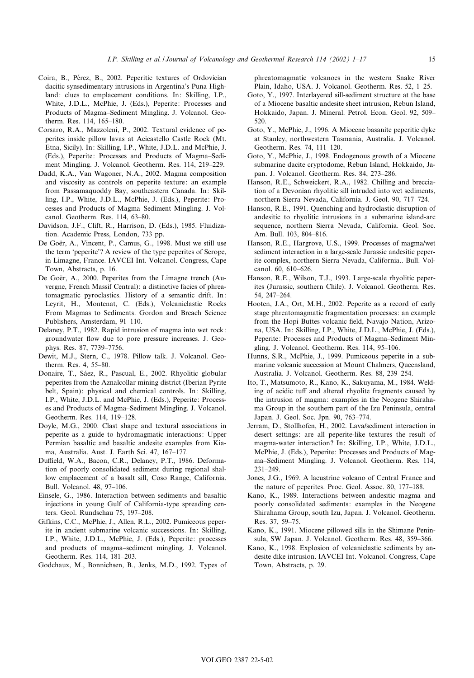- Coira, B., Pérez, B., 2002. Peperitic textures of Ordovician dacitic synsedimentary intrusions in Argentina's Puna Highland: clues to emplacement conditions. In: Skilling, I.P., White, J.D.L., McPhie, J. (Eds.), Peperite: Processes and Products of Magma-Sediment Mingling. J. Volcanol. Geotherm. Res. 114, 165-180.
- Corsaro, R.A., Mazzoleni, P., 2002. Textural evidence of peperites inside pillow lavas at Acicastello Castle Rock (Mt. Etna, Sicily). In: Skilling, I.P., White, J.D.L. and McPhie, J. (Eds.), Peperite: Processes and Products of Magma-Sediment Mingling. J. Volcanol. Geotherm. Res. 114, 219^229.
- Dadd, K.A., Van Wagoner, N.A., 2002. Magma composition and viscosity as controls on peperite texture: an example from Passamaquoddy Bay, southeastern Canada. In: Skilling, I.P., White, J.D.L., McPhie, J. (Eds.), Peperite: Processes and Products of Magma^Sediment Mingling. J. Volcanol. Geotherm. Res. 114, 63^80.
- Davidson, J.F., Clift, R., Harrison, D. (Eds.), 1985. Fluidization. Academic Press, London, 733 pp.
- De Goër, A., Vincent, P., Camus, G., 1998. Must we still use the term 'peperite'? A review of the type peperites of Scrope, in Limagne, France. IAVCEI Int. Volcanol. Congress, Cape Town, Abstracts, p. 16.
- De Goër, A., 2000. Peperites from the Limagne trench (Auvergne, French Massif Central): a distinctive facies of phreatomagmatic pyroclastics. History of a semantic drift. In: Leyrit, H., Montenat, C. (Eds.), Volcaniclastic Rocks From Magmas to Sediments. Gordon and Breach Science Publishers, Amsterdam, 91-110.
- Delaney, P.T., 1982. Rapid intrusion of magma into wet rock: groundwater flow due to pore pressure increases. J. Geophys. Res. 87, 7739-7756.
- Dewit, M.J., Stern, C., 1978. Pillow talk. J. Volcanol. Geotherm. Res. 4, 55-80.
- Donaire, T., Sáez, R., Pascual, E., 2002. Rhyolitic globular peperites from the Aznalcollar mining district (Iberian Pyrite belt, Spain): physical and chemical controls. In: Skilling, I.P., White, J.D.L. and McPhie, J. (Eds.), Peperite: Processes and Products of Magma^Sediment Mingling. J. Volcanol. Geotherm. Res. 114, 119-128.
- Doyle, M.G., 2000. Clast shape and textural associations in peperite as a guide to hydromagmatic interactions: Upper Permian basaltic and basaltic andesite examples from Kiama, Australia. Aust. J. Earth Sci. 47, 167^177.
- Duffield, W.A., Bacon, C.R., Delaney, P.T., 1986. Deformation of poorly consolidated sediment during regional shallow emplacement of a basalt sill, Coso Range, California. Bull. Volcanol. 48, 97-106.
- Einsele, G., 1986. Interaction between sediments and basaltic injections in young Gulf of California-type spreading centers. Geol. Rundschau 75, 197-208.
- Gifkins, C.C., McPhie, J., Allen, R.L., 2002. Pumiceous peperite in ancient submarine volcanic successions. In: Skilling, I.P., White, J.D.L., McPhie, J. (Eds.), Peperite: processes and products of magma-sediment mingling. J. Volcanol. Geotherm. Res. 114, 181-203.
- Godchaux, M., Bonnichsen, B., Jenks, M.D., 1992. Types of

phreatomagmatic volcanoes in the western Snake River Plain, Idaho, USA. J. Volcanol. Geotherm. Res. 52, 1^25.

- Goto, Y., 1997. Interlayered sill-sediment structure at the base of a Miocene basaltic andesite sheet intrusion, Rebun Island, Hokkaido, Japan. J. Mineral. Petrol. Econ. Geol. 92, 509^ 520.
- Goto, Y., McPhie, J., 1996. A Miocene basanite peperitic dyke at Stanley, northwestern Tasmania, Australia. J. Volcanol. Geotherm. Res. 74, 111^120.
- Goto, Y., McPhie, J., 1998. Endogenous growth of a Miocene submarine dacite cryptodome, Rebun Island, Hokkaido, Japan. J. Volcanol. Geotherm. Res. 84, 273-286.
- Hanson, R.E., Schweickert, R.A., 1982. Chilling and brecciation of a Devonian rhyolitic sill intruded into wet sediments, northern Sierra Nevada, California. J. Geol. 90, 717-724.
- Hanson, R.E., 1991. Quenching and hydroclastic disruption of andesitic to rhyolitic intrusions in a submarine island-arc sequence, northern Sierra Nevada, California. Geol. Soc. Am. Bull. 103, 804-816.
- Hanson, R.E., Hargrove, U.S., 1999. Processes of magma/wet sediment interaction in a large-scale Jurassic andesitic peperite complex, northern Sierra Nevada, California.. Bull. Volcanol. 60, 610-626.
- Hanson, R.E., Wilson, T.J., 1993. Large-scale rhyolitic peperites (Jurassic, southern Chile). J. Volcanol. Geotherm. Res. 54, 247-264.
- Hooten, J.A., Ort, M.H., 2002. Peperite as a record of early stage phreatomagmatic fragmentation processes: an example from the Hopi Buttes volcanic field, Navajo Nation, Arizona, USA. In: Skilling, I.P., White, J.D.L., McPhie, J. (Eds.), Peperite: Processes and Products of Magma-Sediment Mingling. J. Volcanol. Geotherm. Res. 114, 95-106.
- Hunns, S.R., McPhie, J., 1999. Pumiceous peperite in a submarine volcanic succession at Mount Chalmers, Queensland, Australia. J. Volcanol. Geotherm. Res. 88, 239-254.
- Ito, T., Matsumoto, R., Kano, K., Sakuyama, M., 1984. Welding of acidic tuff and altered rhyolite fragments caused by the intrusion of magma: examples in the Neogene Shirahama Group in the southern part of the Izu Peninsula, central Japan. J. Geol. Soc. Jpn. 90, 763^774.
- Jerram, D., Stollhofen, H., 2002. Lava/sediment interaction in desert settings: are all peperite-like textures the result of magma-water interaction? In: Skilling, I.P., White, J.D.L., McPhie, J. (Eds.), Peperite: Processes and Products of Magma-Sediment Mingling. J. Volcanol. Geotherm. Res. 114, 231^249.
- Jones, J.G., 1969. A lacustrine volcano of Central France and the nature of peperites. Proc. Geol. Assoc. 80, 177-188.
- Kano, K., 1989. Interactions between andesitic magma and poorly consolidated sediments: examples in the Neogene Shirahama Group, south Izu, Japan. J. Volcanol. Geotherm. Res. 37, 59-75.
- Kano, K., 1991. Miocene pillowed sills in the Shimane Peninsula, SW Japan. J. Volcanol. Geotherm. Res. 48, 359-366.
- Kano, K., 1998. Explosion of volcaniclastic sediments by andesite dike intrusion. IAVCEI Int. Volcanol. Congress, Cape Town, Abstracts, p. 29.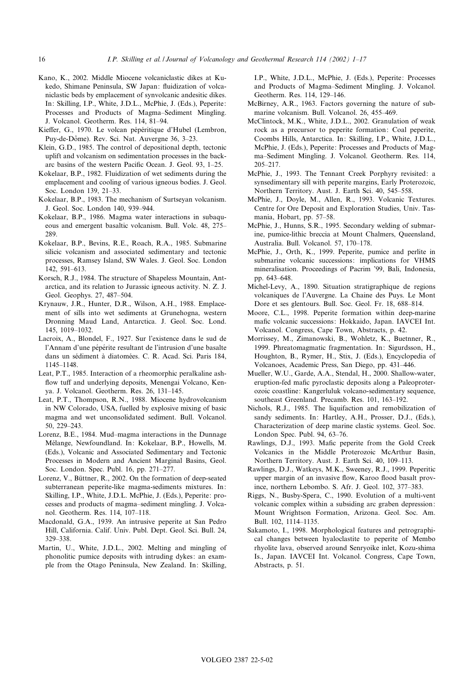- Kano, K., 2002. Middle Miocene volcaniclastic dikes at Kukedo, Shimane Peninsula, SW Japan: fluidization of volcaniclastic beds by emplacement of synvolcanic andesitic dikes. In: Skilling, I.P., White, J.D.L., McPhie, J. (Eds.), Peperite: Processes and Products of Magma-Sediment Mingling. J. Volcanol. Geotherm. Res. 114, 81^94.
- Kieffer, G., 1970. Le volcan pépéritique d'Hubel (Lembron, Puy-de-Dôme). Rev. Sci. Nat. Auvergne 36, 3-23.
- Klein, G.D., 1985. The control of depositional depth, tectonic uplift and volcanism on sedimentation processes in the backarc basins of the western Pacific Ocean. J. Geol. 93, 1-25.
- Kokelaar, B.P., 1982. Fluidization of wet sediments during the emplacement and cooling of various igneous bodies. J. Geol. Soc. London 139, 21-33.
- Kokelaar, B.P., 1983. The mechanism of Surtseyan volcanism. J. Geol. Soc. London 140, 939-944.
- Kokelaar, B.P., 1986. Magma water interactions in subaqueous and emergent basaltic volcanism. Bull. Volc. 48, 275^ 289.
- Kokelaar, B.P., Bevins, R.E., Roach, R.A., 1985. Submarine silicic volcanism and associated sedimentary and tectonic processes, Ramsey Island, SW Wales. J. Geol. Soc. London 142, 591^613.
- Korsch, R.J., 1984. The structure of Shapeless Mountain, Antarctica, and its relation to Jurassic igneous activity. N. Z. J. Geol. Geophys. 27, 487-504.
- Krynauw, J.R., Hunter, D.R., Wilson, A.H., 1988. Emplacement of sills into wet sediments at Grunehogna, western Dronning Maud Land, Antarctica. J. Geol. Soc. Lond. 145, 1019^1032.
- Lacroix, A., Blondel, F., 1927. Sur l'existence dans le sud de l'Annam d'une pépérite resultant de l'intrusion d'une basalte dans un sédiment à diatomées. C. R. Acad. Sci. Paris 184, 1145^1148.
- Leat, P.T., 1985. Interaction of a rheomorphic peralkaline ash flow tuff and underlying deposits, Menengai Volcano, Kenya. J. Volcanol. Geotherm. Res. 26, 131^145.
- Leat, P.T., Thompson, R.N., 1988. Miocene hydrovolcanism in NW Colorado, USA, fuelled by explosive mixing of basic magma and wet unconsolidated sediment. Bull. Volcanol. 50, 229^243.
- Lorenz, B.E., 1984. Mud-magma interactions in the Dunnage Mélange, Newfoundland. In: Kokelaar, B.P., Howells, M. (Eds.), Volcanic and Associated Sedimentary and Tectonic Processes in Modern and Ancient Marginal Basins, Geol. Soc. London. Spec. Publ. 16, pp. 271-277.
- Lorenz, V., Büttner, R., 2002. On the formation of deep-seated subterranean peperite-like magma-sediments mixtures. In: Skilling, I.P., White, J.D.L. McPhie, J. (Eds.), Peperite: processes and products of magma^sediment mingling. J. Volcanol. Geotherm. Res. 114, 107^118.
- Macdonald, G.A., 1939. An intrusive peperite at San Pedro Hill, California. Calif. Univ. Publ. Dept. Geol. Sci. Bull. 24, 329^338.
- Martin, U., White, J.D.L., 2002. Melting and mingling of phonolitic pumice deposits with intruding dykes: an example from the Otago Peninsula, New Zealand. In: Skilling,

I.P., White, J.D.L., McPhie, J. (Eds.), Peperite: Processes and Products of Magma-Sediment Mingling. J. Volcanol. Geotherm. Res. 114, 129-146.

- McBirney, A.R., 1963. Factors governing the nature of submarine volcanism. Bull. Volcanol. 26, 455-469.
- McClintock, M.K., White, J.D.L., 2002. Granulation of weak rock as a precursor to peperite formation: Coal peperite, Coombs Hills, Antarctica. In: Skilling, I.P., White, J.D.L., McPhie, J. (Eds.), Peperite: Processes and Products of Magma-Sediment Mingling. J. Volcanol. Geotherm. Res. 114, 205^217.
- McPhie, J., 1993. The Tennant Creek Porphyry revisited: a synsedimentary sill with peperite margins, Early Proterozoic, Northern Territory. Aust. J. Earth Sci. 40, 545-558.
- McPhie, J., Doyle, M., Allen, R., 1993. Volcanic Textures. Centre for Ore Deposit and Exploration Studies, Univ. Tasmania, Hobart, pp. 57-58.
- McPhie, J., Hunns, S.R., 1995. Secondary welding of submarine, pumice-lithic breccia at Mount Chalmers, Queensland, Australia. Bull. Volcanol. 57, 170-178.
- McPhie, J., Orth, K., 1999. Peperite, pumice and perlite in submarine volcanic successions: implications for VHMS mineralisation. Proceedings of Pacrim '99, Bali, Indonesia, pp. 643-648.
- Michel-Levy, A., 1890. Situation stratigraphique de regions volcaniques de l'Auvergne. La Chaine des Puys. Le Mont Dore et ses glentours. Bull. Soc. Geol. Fr. 18, 688-814.
- Moore, C.L., 1998. Peperite formation within deep-marine mafic volcanic successions: Hokkaido, Japan. IAVCEI Int. Volcanol. Congress, Cape Town, Abstracts, p. 42.
- Morrissey, M., Zimanowski, B., Wohletz, K., Buetnner, R., 1999. Phreatomagmatic fragmentation. In: Sigurdsson, H., Houghton, B., Rymer, H., Stix, J. (Eds.), Encyclopedia of Volcanoes, Academic Press, San Diego, pp. 431^446.
- Mueller, W.U., Garde, A.A., Stendal, H., 2000. Shallow-water, eruption-fed mafic pyroclastic deposits along a Paleoproterozoic coastline: Kangerluluk volcano-sedimentary sequence, southeast Greenland. Precamb. Res. 101, 163-192.
- Nichols, R.J., 1985. The liquifaction and remobilization of sandy sediments. In: Hartley, A.H., Prosser, D.J., (Eds.), Characterization of deep marine clastic systems. Geol. Soc. London Spec. Publ. 94, 63^76.
- Rawlings, D.J., 1993. Mafic peperite from the Gold Creek Volcanics in the Middle Proterozoic McArthur Basin, Northern Territory. Aust. J. Earth Sci. 40, 109-113.
- Rawlings, D.J., Watkeys, M.K., Sweeney, R.J., 1999. Peperitic upper margin of an invasive flow, Karoo flood basalt province, northern Lebombo. S. Afr. J. Geol. 102, 377-383.
- Riggs, N., Busby-Spera, C., 1990. Evolution of a multi-vent volcanic complex within a subsiding arc graben depression: Mount Wrightson Formation, Arizona. Geol. Soc. Am. Bull. 102, 1114^1135.
- Sakamoto, I., 1998. Morphological features and petrographical changes between hyaloclastite to peperite of Membo rhyolite lava, observed around Senryoike inlet, Kozu-shima Is., Japan. IAVCEI Int. Volcanol. Congress, Cape Town, Abstracts, p. 51.